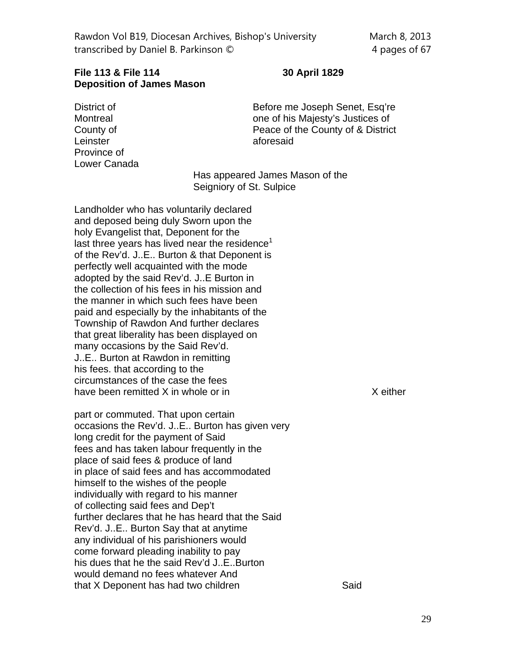## **File 113 & File 114 30 April 1829 Deposition of James Mason**

Leinster aforesaid Province of Lower Canada

District of **Before me Joseph Senet, Esq're** Montreal one of his Majesty's Justices of County of Peace of the County of & District

> Has appeared James Mason of the Seigniory of St. Sulpice

Landholder who has voluntarily declared and deposed being duly Sworn upon the holy Evangelist that, Deponent for the last three years has lived near the residence $1$ of the Rev'd. J..E.. Burton & that Deponent is perfectly well acquainted with the mode adopted by the said Rev'd. J..E Burton in the collection of his fees in his mission and the manner in which such fees have been paid and especially by the inhabitants of the Township of Rawdon And further declares that great liberality has been displayed on many occasions by the Said Rev'd. J..E.. Burton at Rawdon in remitting his fees. that according to the circumstances of the case the fees have been remitted  $X$  in whole or in  $X$  either

part or commuted. That upon certain occasions the Rev'd. J..E.. Burton has given very long credit for the payment of Said fees and has taken labour frequently in the place of said fees & produce of land in place of said fees and has accommodated himself to the wishes of the people individually with regard to his manner of collecting said fees and Dep't further declares that he has heard that the Said Rev'd. J..E.. Burton Say that at anytime any individual of his parishioners would come forward pleading inability to pay his dues that he the said Rev'd J..E..Burton would demand no fees whatever And that X Deponent has had two children Said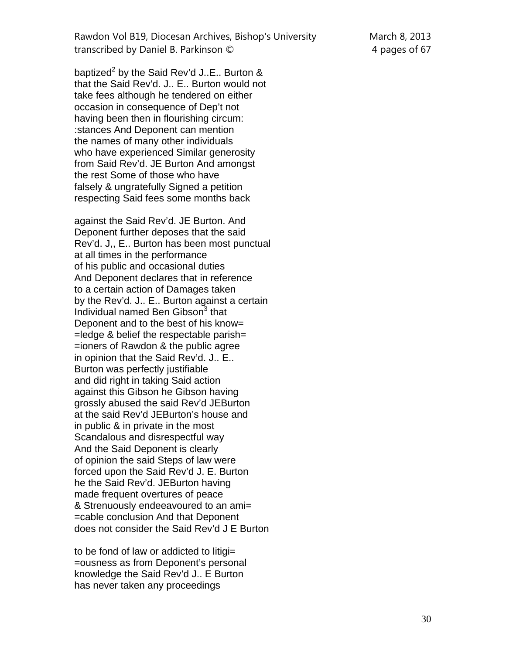Rawdon Vol B19, Diocesan Archives, Bishop's University March 8, 2013 transcribed by Daniel B. Parkinson  $\oslash$  4 pages of 67

baptized $^2$  by the Said Rev'd J..E.. Burton & that the Said Rev'd. J.. E.. Burton would not take fees although he tendered on either occasion in consequence of Dep't not having been then in flourishing circum: :stances And Deponent can mention the names of many other individuals who have experienced Similar generosity from Said Rev'd. JE Burton And amongst the rest Some of those who have falsely & ungratefully Signed a petition respecting Said fees some months back

against the Said Rev'd. JE Burton. And Deponent further deposes that the said Rev'd. J,, E.. Burton has been most punctual at all times in the performance of his public and occasional duties And Deponent declares that in reference to a certain action of Damages taken by the Rev'd. J.. E.. Burton against a certain Individual named Ben Gibson<sup>3</sup> that Deponent and to the best of his know=  $=$ ledge & belief the respectable parish $=$ =ioners of Rawdon & the public agree in opinion that the Said Rev'd. J.. E.. Burton was perfectly justifiable and did right in taking Said action against this Gibson he Gibson having grossly abused the said Rev'd JEBurton at the said Rev'd JEBurton's house and in public & in private in the most Scandalous and disrespectful way And the Said Deponent is clearly of opinion the said Steps of law were forced upon the Said Rev'd J. E. Burton he the Said Rev'd. JEBurton having made frequent overtures of peace & Strenuously endeeavoured to an ami= =cable conclusion And that Deponent does not consider the Said Rev'd J E Burton

to be fond of law or addicted to litigi= =ousness as from Deponent's personal knowledge the Said Rev'd J.. E Burton has never taken any proceedings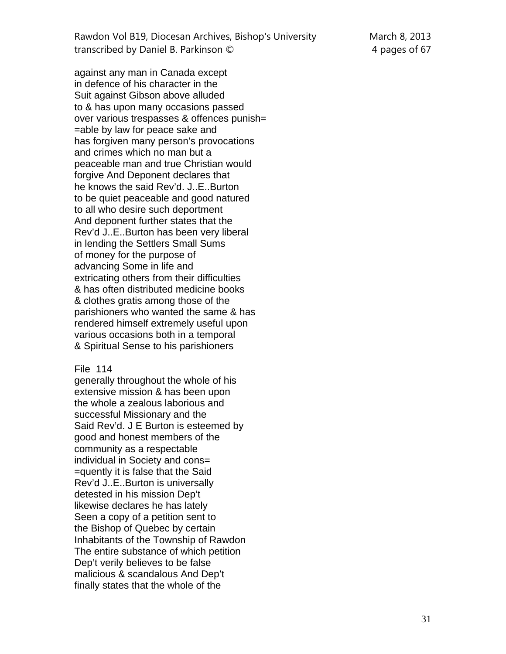Rawdon Vol B19, Diocesan Archives, Bishop's University March 8, 2013 transcribed by Daniel B. Parkinson © 4 pages of 67

against any man in Canada except in defence of his character in the Suit against Gibson above alluded to & has upon many occasions passed over various trespasses & offences punish= =able by law for peace sake and has forgiven many person's provocations and crimes which no man but a peaceable man and true Christian would forgive And Deponent declares that he knows the said Rev'd. J..E..Burton to be quiet peaceable and good natured to all who desire such deportment And deponent further states that the Rev'd J..E..Burton has been very liberal in lending the Settlers Small Sums of money for the purpose of advancing Some in life and extricating others from their difficulties & has often distributed medicine books & clothes gratis among those of the parishioners who wanted the same & has rendered himself extremely useful upon various occasions both in a temporal & Spiritual Sense to his parishioners

## File 114

generally throughout the whole of his extensive mission & has been upon the whole a zealous laborious and successful Missionary and the Said Rev'd. J E Burton is esteemed by good and honest members of the community as a respectable individual in Society and cons= =quently it is false that the Said Rev'd J..E..Burton is universally detested in his mission Dep't likewise declares he has lately Seen a copy of a petition sent to the Bishop of Quebec by certain Inhabitants of the Township of Rawdon The entire substance of which petition Dep't verily believes to be false malicious & scandalous And Dep't finally states that the whole of the